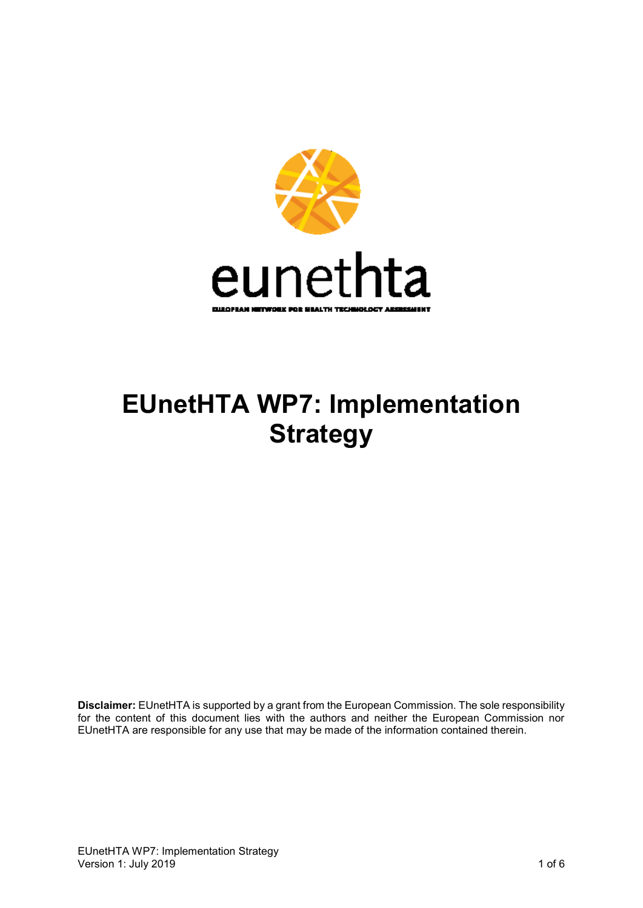

# **EUnetHTA WP7: Implementation Strategy**

**Disclaimer:** EUnetHTA is supported by a grant from the European Commission. The sole responsibility for the content of this document lies with the authors and neither the European Commission nor EUnetHTA are responsible for any use that may be made of the information contained therein.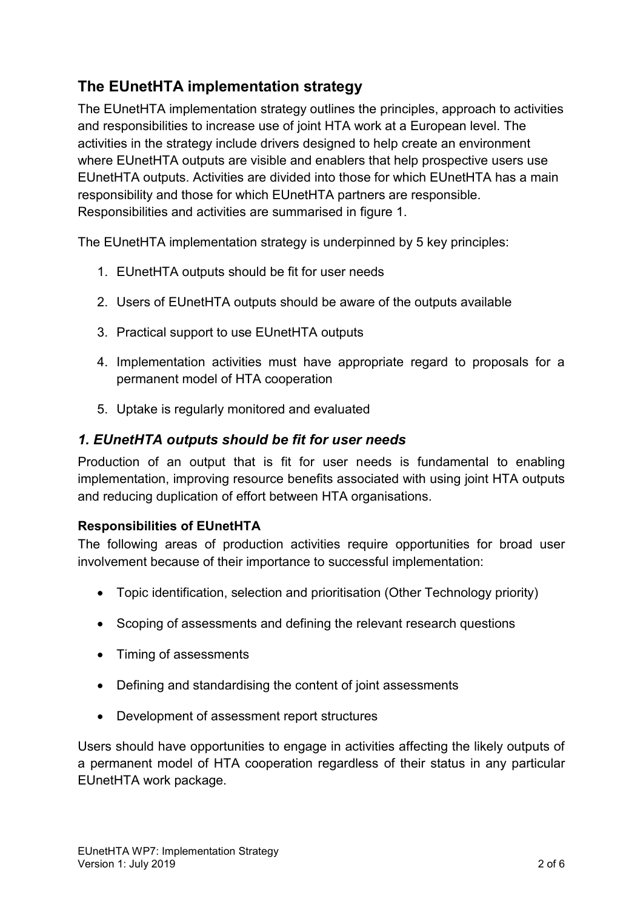## **The EUnetHTA implementation strategy**

The EUnetHTA implementation strategy outlines the principles, approach to activities and responsibilities to increase use of joint HTA work at a European level. The activities in the strategy include drivers designed to help create an environment where EUnetHTA outputs are visible and enablers that help prospective users use EUnetHTA outputs. Activities are divided into those for which EUnetHTA has a main responsibility and those for which EUnetHTA partners are responsible. Responsibilities and activities are summarised in figure 1.

The EUnetHTA implementation strategy is underpinned by 5 key principles:

- 1. EUnetHTA outputs should be fit for user needs
- 2. Users of EUnetHTA outputs should be aware of the outputs available
- 3. Practical support to use EUnetHTA outputs
- 4. Implementation activities must have appropriate regard to proposals for a permanent model of HTA cooperation
- 5. Uptake is regularly monitored and evaluated

## *1. EUnetHTA outputs should be fit for user needs*

Production of an output that is fit for user needs is fundamental to enabling implementation, improving resource benefits associated with using joint HTA outputs and reducing duplication of effort between HTA organisations.

## **Responsibilities of EUnetHTA**

The following areas of production activities require opportunities for broad user involvement because of their importance to successful implementation:

- Topic identification, selection and prioritisation (Other Technology priority)
- Scoping of assessments and defining the relevant research questions
- Timing of assessments
- Defining and standardising the content of joint assessments
- Development of assessment report structures

Users should have opportunities to engage in activities affecting the likely outputs of a permanent model of HTA cooperation regardless of their status in any particular EUnetHTA work package.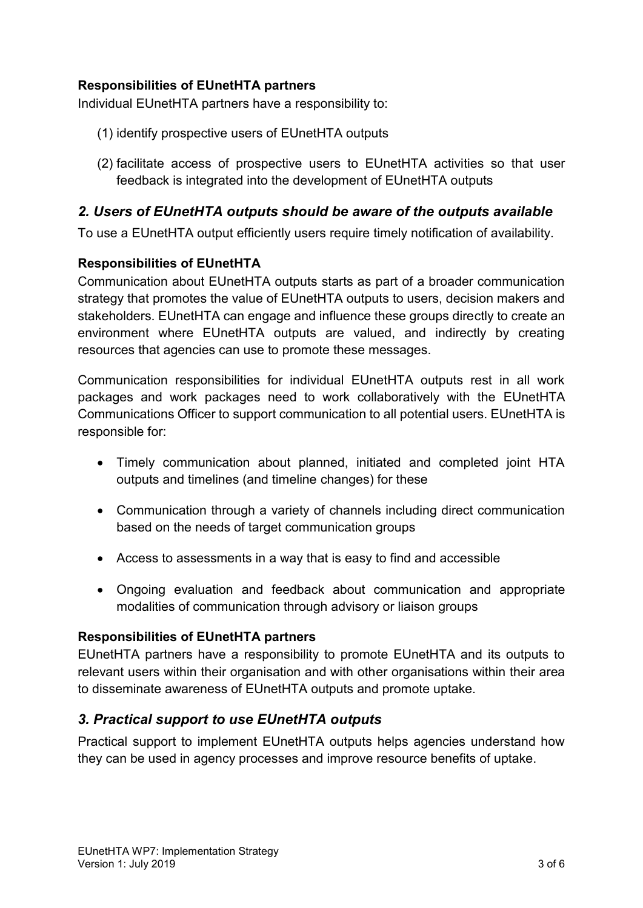#### **Responsibilities of EUnetHTA partners**

Individual EUnetHTA partners have a responsibility to:

- (1) identify prospective users of EUnetHTA outputs
- (2) facilitate access of prospective users to EUnetHTA activities so that user feedback is integrated into the development of EUnetHTA outputs

#### *2. Users of EUnetHTA outputs should be aware of the outputs available*

To use a EUnetHTA output efficiently users require timely notification of availability.

#### **Responsibilities of EUnetHTA**

Communication about EUnetHTA outputs starts as part of a broader communication strategy that promotes the value of EUnetHTA outputs to users, decision makers and stakeholders. EUnetHTA can engage and influence these groups directly to create an environment where EUnetHTA outputs are valued, and indirectly by creating resources that agencies can use to promote these messages.

Communication responsibilities for individual EUnetHTA outputs rest in all work packages and work packages need to work collaboratively with the EUnetHTA Communications Officer to support communication to all potential users. EUnetHTA is responsible for:

- Timely communication about planned, initiated and completed joint HTA outputs and timelines (and timeline changes) for these
- Communication through a variety of channels including direct communication based on the needs of target communication groups
- Access to assessments in a way that is easy to find and accessible
- Ongoing evaluation and feedback about communication and appropriate modalities of communication through advisory or liaison groups

#### **Responsibilities of EUnetHTA partners**

EUnetHTA partners have a responsibility to promote EUnetHTA and its outputs to relevant users within their organisation and with other organisations within their area to disseminate awareness of EUnetHTA outputs and promote uptake.

## *3. Practical support to use EUnetHTA outputs*

Practical support to implement EUnetHTA outputs helps agencies understand how they can be used in agency processes and improve resource benefits of uptake.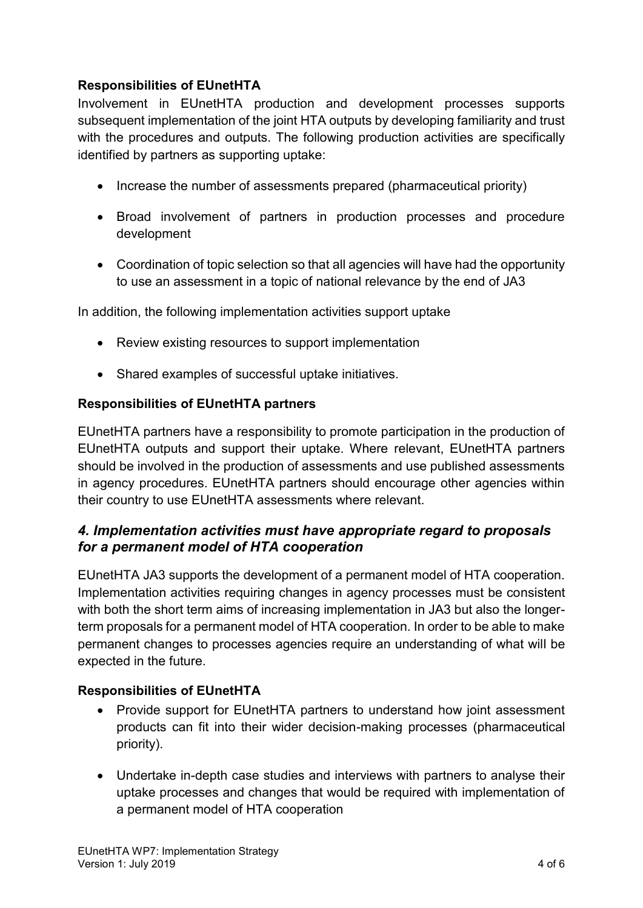## **Responsibilities of EUnetHTA**

Involvement in EUnetHTA production and development processes supports subsequent implementation of the joint HTA outputs by developing familiarity and trust with the procedures and outputs. The following production activities are specifically identified by partners as supporting uptake:

- Increase the number of assessments prepared (pharmaceutical priority)
- Broad involvement of partners in production processes and procedure development
- Coordination of topic selection so that all agencies will have had the opportunity to use an assessment in a topic of national relevance by the end of JA3

In addition, the following implementation activities support uptake

- Review existing resources to support implementation
- Shared examples of successful uptake initiatives.

#### **Responsibilities of EUnetHTA partners**

EUnetHTA partners have a responsibility to promote participation in the production of EUnetHTA outputs and support their uptake. Where relevant, EUnetHTA partners should be involved in the production of assessments and use published assessments in agency procedures. EUnetHTA partners should encourage other agencies within their country to use EUnetHTA assessments where relevant.

## *4. Implementation activities must have appropriate regard to proposals for a permanent model of HTA cooperation*

EUnetHTA JA3 supports the development of a permanent model of HTA cooperation. Implementation activities requiring changes in agency processes must be consistent with both the short term aims of increasing implementation in JA3 but also the longerterm proposals for a permanent model of HTA cooperation. In order to be able to make permanent changes to processes agencies require an understanding of what will be expected in the future.

#### **Responsibilities of EUnetHTA**

- Provide support for EUnetHTA partners to understand how joint assessment products can fit into their wider decision-making processes (pharmaceutical priority).
- Undertake in-depth case studies and interviews with partners to analyse their uptake processes and changes that would be required with implementation of a permanent model of HTA cooperation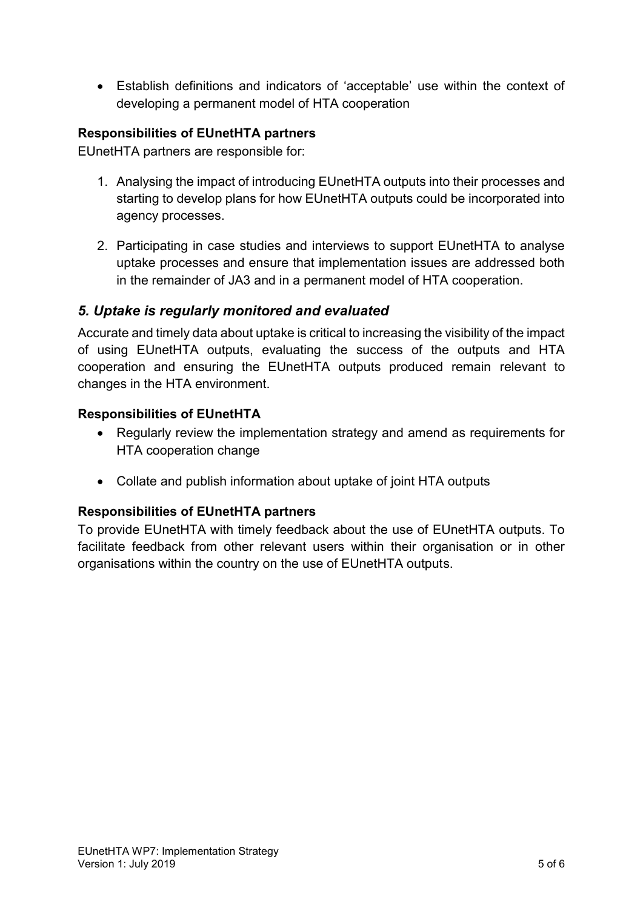• Establish definitions and indicators of 'acceptable' use within the context of developing a permanent model of HTA cooperation

#### **Responsibilities of EUnetHTA partners**

EUnetHTA partners are responsible for:

- 1. Analysing the impact of introducing EUnetHTA outputs into their processes and starting to develop plans for how EUnetHTA outputs could be incorporated into agency processes.
- 2. Participating in case studies and interviews to support EUnetHTA to analyse uptake processes and ensure that implementation issues are addressed both in the remainder of JA3 and in a permanent model of HTA cooperation.

## *5. Uptake is regularly monitored and evaluated*

Accurate and timely data about uptake is critical to increasing the visibility of the impact of using EUnetHTA outputs, evaluating the success of the outputs and HTA cooperation and ensuring the EUnetHTA outputs produced remain relevant to changes in the HTA environment.

#### **Responsibilities of EUnetHTA**

- Regularly review the implementation strategy and amend as requirements for HTA cooperation change
- Collate and publish information about uptake of joint HTA outputs

#### **Responsibilities of EUnetHTA partners**

To provide EUnetHTA with timely feedback about the use of EUnetHTA outputs. To facilitate feedback from other relevant users within their organisation or in other organisations within the country on the use of EUnetHTA outputs.